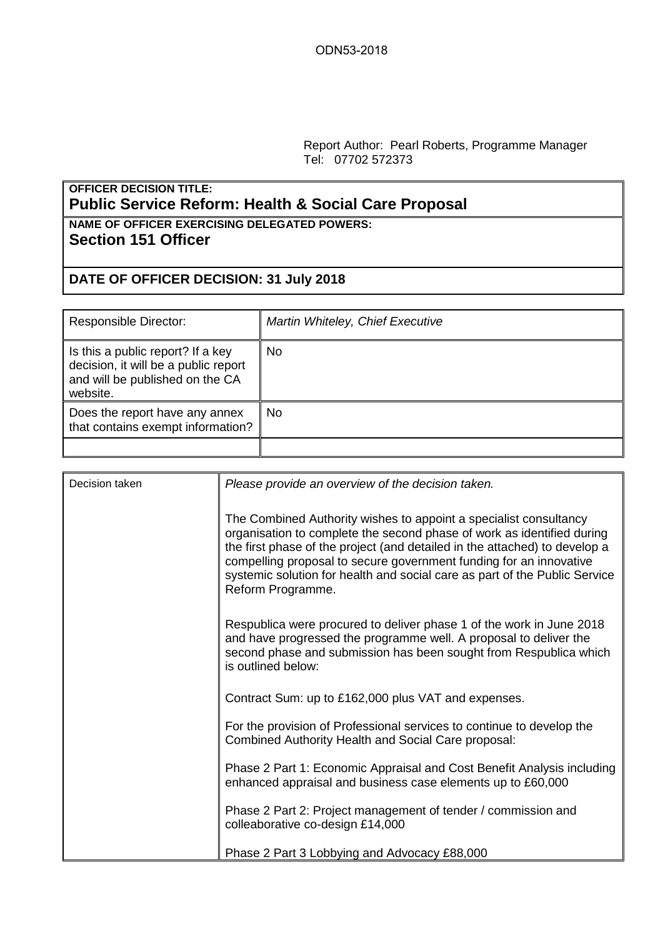Report Author: Pearl Roberts, Programme Manager Tel: 07702 572373

## **OFFICER DECISION TITLE: Public Service Reform: Health & Social Care Proposal**

## **NAME OF OFFICER EXERCISING DELEGATED POWERS: Section 151 Officer**

## **DATE OF OFFICER DECISION: 31 July 2018**

| <b>Responsible Director:</b>                                                                                             | Martin Whiteley, Chief Executive |
|--------------------------------------------------------------------------------------------------------------------------|----------------------------------|
| Is this a public report? If a key<br>decision, it will be a public report<br>and will be published on the CA<br>website. | No                               |
| Does the report have any annex<br>that contains exempt information?                                                      | No.                              |
|                                                                                                                          |                                  |

| Decision taken | Please provide an overview of the decision taken.                                                                                                                                                                                                                                                                                                                                                  |
|----------------|----------------------------------------------------------------------------------------------------------------------------------------------------------------------------------------------------------------------------------------------------------------------------------------------------------------------------------------------------------------------------------------------------|
|                | The Combined Authority wishes to appoint a specialist consultancy<br>organisation to complete the second phase of work as identified during<br>the first phase of the project (and detailed in the attached) to develop a<br>compelling proposal to secure government funding for an innovative<br>systemic solution for health and social care as part of the Public Service<br>Reform Programme. |
|                | Respublica were procured to deliver phase 1 of the work in June 2018<br>and have progressed the programme well. A proposal to deliver the<br>second phase and submission has been sought from Respublica which<br>is outlined below:                                                                                                                                                               |
|                | Contract Sum: up to £162,000 plus VAT and expenses.                                                                                                                                                                                                                                                                                                                                                |
|                | For the provision of Professional services to continue to develop the<br>Combined Authority Health and Social Care proposal:                                                                                                                                                                                                                                                                       |
|                | Phase 2 Part 1: Economic Appraisal and Cost Benefit Analysis including<br>enhanced appraisal and business case elements up to £60,000                                                                                                                                                                                                                                                              |
|                | Phase 2 Part 2: Project management of tender / commission and<br>colleaborative co-design £14,000                                                                                                                                                                                                                                                                                                  |
|                | Phase 2 Part 3 Lobbying and Advocacy £88,000                                                                                                                                                                                                                                                                                                                                                       |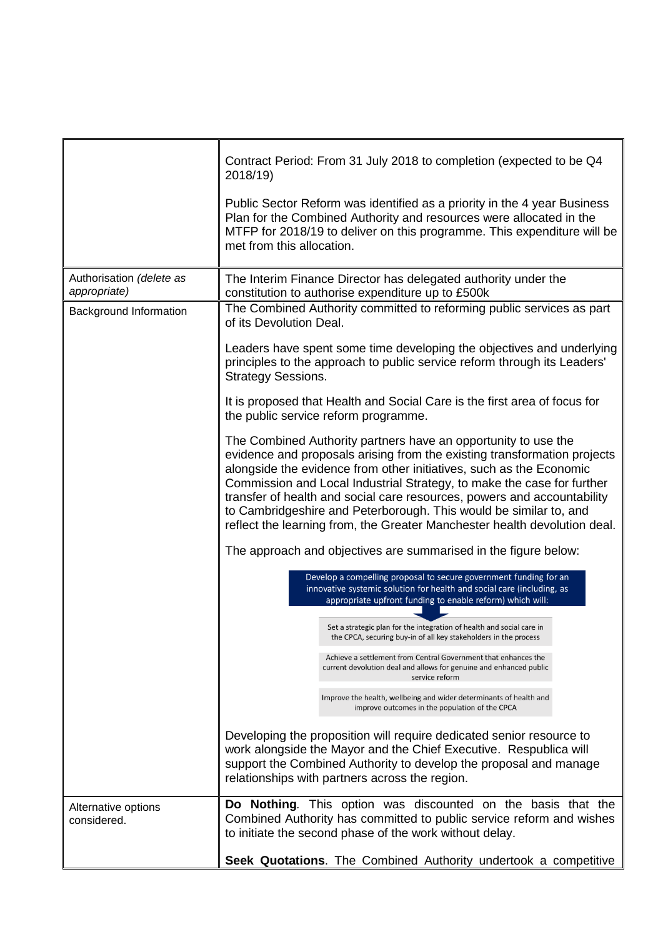|                                          | Contract Period: From 31 July 2018 to completion (expected to be Q4<br>2018/19)<br>Public Sector Reform was identified as a priority in the 4 year Business<br>Plan for the Combined Authority and resources were allocated in the<br>MTFP for 2018/19 to deliver on this programme. This expenditure will be<br>met from this allocation.                                                                                                                                                                                                                                                                                                                                                                                                                                                                                      |  |  |  |  |
|------------------------------------------|---------------------------------------------------------------------------------------------------------------------------------------------------------------------------------------------------------------------------------------------------------------------------------------------------------------------------------------------------------------------------------------------------------------------------------------------------------------------------------------------------------------------------------------------------------------------------------------------------------------------------------------------------------------------------------------------------------------------------------------------------------------------------------------------------------------------------------|--|--|--|--|
|                                          |                                                                                                                                                                                                                                                                                                                                                                                                                                                                                                                                                                                                                                                                                                                                                                                                                                 |  |  |  |  |
| Authorisation (delete as<br>appropriate) | The Interim Finance Director has delegated authority under the                                                                                                                                                                                                                                                                                                                                                                                                                                                                                                                                                                                                                                                                                                                                                                  |  |  |  |  |
|                                          | constitution to authorise expenditure up to £500k                                                                                                                                                                                                                                                                                                                                                                                                                                                                                                                                                                                                                                                                                                                                                                               |  |  |  |  |
| Background Information                   | The Combined Authority committed to reforming public services as part<br>of its Devolution Deal.                                                                                                                                                                                                                                                                                                                                                                                                                                                                                                                                                                                                                                                                                                                                |  |  |  |  |
|                                          | Leaders have spent some time developing the objectives and underlying<br>principles to the approach to public service reform through its Leaders'<br><b>Strategy Sessions.</b><br>It is proposed that Health and Social Care is the first area of focus for<br>the public service reform programme.<br>The Combined Authority partners have an opportunity to use the<br>evidence and proposals arising from the existing transformation projects<br>alongside the evidence from other initiatives, such as the Economic<br>Commission and Local Industrial Strategy, to make the case for further<br>transfer of health and social care resources, powers and accountability<br>to Cambridgeshire and Peterborough. This would be similar to, and<br>reflect the learning from, the Greater Manchester health devolution deal. |  |  |  |  |
|                                          |                                                                                                                                                                                                                                                                                                                                                                                                                                                                                                                                                                                                                                                                                                                                                                                                                                 |  |  |  |  |
|                                          |                                                                                                                                                                                                                                                                                                                                                                                                                                                                                                                                                                                                                                                                                                                                                                                                                                 |  |  |  |  |
|                                          | The approach and objectives are summarised in the figure below:                                                                                                                                                                                                                                                                                                                                                                                                                                                                                                                                                                                                                                                                                                                                                                 |  |  |  |  |
|                                          | Develop a compelling proposal to secure government funding for an<br>innovative systemic solution for health and social care (including, as<br>appropriate upfront funding to enable reform) which will:                                                                                                                                                                                                                                                                                                                                                                                                                                                                                                                                                                                                                        |  |  |  |  |
|                                          | Set a strategic plan for the integration of health and social care in<br>the CPCA, securing buy-in of all key stakeholders in the process                                                                                                                                                                                                                                                                                                                                                                                                                                                                                                                                                                                                                                                                                       |  |  |  |  |
|                                          | Achieve a settlement from Central Government that enhances the<br>current devolution deal and allows for genuine and enhanced public<br>service reform                                                                                                                                                                                                                                                                                                                                                                                                                                                                                                                                                                                                                                                                          |  |  |  |  |
|                                          | Improve the health, wellbeing and wider determinants of health and<br>improve outcomes in the population of the CPCA                                                                                                                                                                                                                                                                                                                                                                                                                                                                                                                                                                                                                                                                                                            |  |  |  |  |
|                                          | Developing the proposition will require dedicated senior resource to<br>work alongside the Mayor and the Chief Executive. Respublica will<br>support the Combined Authority to develop the proposal and manage<br>relationships with partners across the region.                                                                                                                                                                                                                                                                                                                                                                                                                                                                                                                                                                |  |  |  |  |
| Alternative options                      | Do Nothing. This option was discounted on the basis that the                                                                                                                                                                                                                                                                                                                                                                                                                                                                                                                                                                                                                                                                                                                                                                    |  |  |  |  |
| considered.                              | Combined Authority has committed to public service reform and wishes<br>to initiate the second phase of the work without delay.                                                                                                                                                                                                                                                                                                                                                                                                                                                                                                                                                                                                                                                                                                 |  |  |  |  |
|                                          | Seek Quotations. The Combined Authority undertook a competitive                                                                                                                                                                                                                                                                                                                                                                                                                                                                                                                                                                                                                                                                                                                                                                 |  |  |  |  |